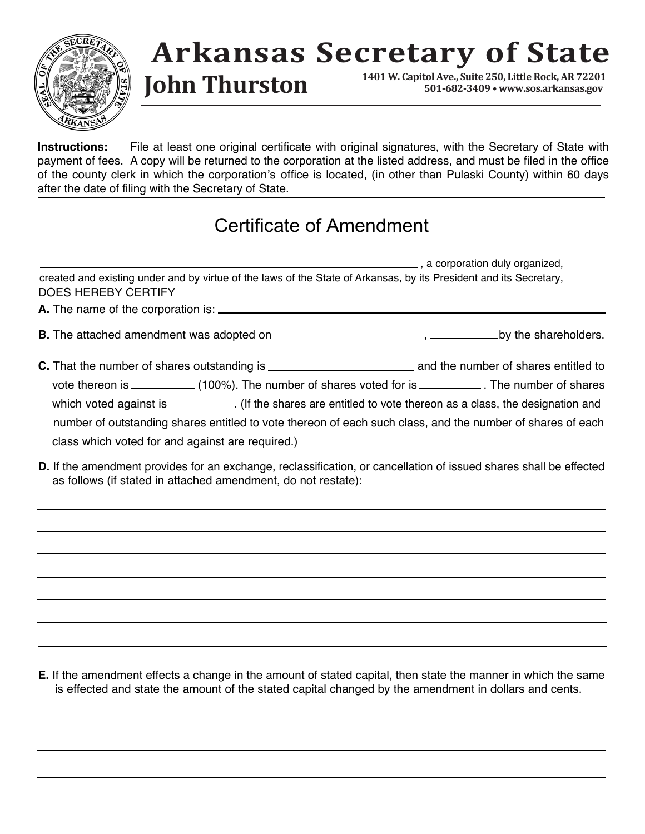

## **Arkansas Secretary of State**

**1401 W. Capitol Ave., Suite 250, Little Rock, AR 72201 John Thurston 501-682-3409 • www.sos.arkansas.gov**

**Instructions:** File at least one original certificate with original signatures, with the Secretary of State with payment of fees. A copy will be returned to the corporation at the listed address, and must be filed in the office of the county clerk in which the corporation's office is located, (in other than Pulaski County) within 60 days after the date of filing with the Secretary of State.

## Certificate of Amendment

|                                                  | a corporation duly organized,                                                                                      |
|--------------------------------------------------|--------------------------------------------------------------------------------------------------------------------|
| <b>DOES HEREBY CERTIFY</b>                       | created and existing under and by virtue of the laws of the State of Arkansas, by its President and its Secretary, |
|                                                  |                                                                                                                    |
|                                                  |                                                                                                                    |
|                                                  |                                                                                                                    |
|                                                  | vote thereon is _____________(100%). The number of shares voted for is ____________. The number of shares          |
|                                                  | which voted against is ______________. (If the shares are entitled to vote thereon as a class, the designation and |
|                                                  | number of outstanding shares entitled to vote thereon of each such class, and the number of shares of each         |
| class which voted for and against are required.) |                                                                                                                    |
|                                                  |                                                                                                                    |

**D.** If the amendment provides for an exchange, reclassification, or cancellation of issued shares shall be effected as follows (if stated in attached amendment, do not restate):

**E.** If the amendment effects a change in the amount of stated capital, then state the manner in which the same is effected and state the amount of the stated capital changed by the amendment in dollars and cents.